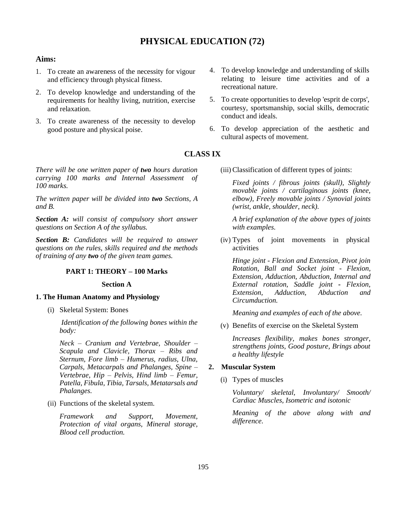# **PHYSICAL EDUCATION (72)**

#### **Aims:**

- 1. To create an awareness of the necessity for vigour and efficiency through physical fitness.
- 2. To develop knowledge and understanding of the requirements for healthy living, nutrition, exercise and relaxation.
- 3. To create awareness of the necessity to develop good posture and physical poise.

*There will be one written paper of two hours duration carrying 100 marks and Internal Assessment of 100 marks.*

*The written paper will be divided into two Sections, A and B.*

*Section A: will consist of compulsory short answer questions on Section A of the syllabus.*

*Section B: Candidates will be required to answer questions on the rules, skills required and the methods of training of any two of the given team games.*

## **PART 1: THEORY – 100 Marks**

#### **Section A**

#### **1. The Human Anatomy and Physiology**

(i) Skeletal System: Bones

*Identification of the following bones within the body:*

*Neck – Cranium and Vertebrae, Shoulder – Scapula and Clavicle, Thorax – Ribs and Sternum, Fore limb – Humerus, radius, Ulna, Carpals, Metacarpals and Phalanges, Spine – Vertebrae, Hip – Pelvis, Hind limb – Femur, Patella, Fibula, Tibia, Tarsals, Metatarsals and Phalanges.*

(ii) Functions of the skeletal system.

*Framework and Support, Movement, Protection of vital organs, Mineral storage, Blood cell production.*

- 4. To develop knowledge and understanding of skills relating to leisure time activities and of a recreational nature.
- 5. To create opportunities to develop 'esprit de corps', courtesy, sportsmanship, social skills, democratic conduct and ideals.
- 6. To develop appreciation of the aesthetic and cultural aspects of movement.

## **CLASS IX**

(iii) Classification of different types of joints:

*Fixed joints / fibrous joints (skull), Slightly movable joints / cartilaginous joints (knee, elbow), Freely movable joints / Synovial joints (wrist, ankle, shoulder, neck).*

*A brief explanation of the above types of joints with examples.*

(iv) Types of joint movements in physical activities

*Hinge joint - Flexion and Extension, Pivot join Rotation, Ball and Socket joint - Flexion, Extension, Adduction, Abduction, Internal and External rotation, Saddle joint - Flexion, Extension, Adduction, Abduction and Circumduction.*

*Meaning and examples of each of the above.*

(v) Benefits of exercise on the Skeletal System

*Increases flexibility, makes bones stronger, strengthens joints, Good posture, Brings about a healthy lifestyle*

#### **2. Muscular System**

(i) Types of muscles

*Voluntary/ skeletal, Involuntary/ Smooth/ Cardiac Muscles, Isometric and isotonic*

*Meaning of the above along with and difference.*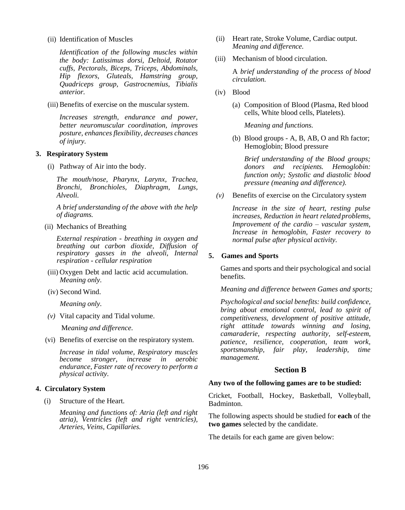(ii) Identification of Muscles

*Identification of the following muscles within the body: Latissimus dorsi, Deltoid, Rotator cuffs, Pectorals, Biceps, Triceps, Abdominals, Hip flexors, Gluteals, Hamstring group, Quadriceps group, Gastrocnemius, Tibialis anterior.*

(iii) Benefits of exercise on the muscular system.

*Increases strength, endurance and power, better neuromuscular coordination, improves posture, enhances flexibility, decreases chances of injury.*

#### **3. Respiratory System**

(i) Pathway of Air into the body.

*The mouth/nose, Pharynx, Larynx, Trachea, Bronchi, Bronchioles, Diaphragm, Lungs, Alveoli.*

*A brief understanding of the above with the help of diagrams.*

(ii) Mechanics of Breathing

*External respiration - breathing in oxygen and breathing out carbon dioxide, Diffusion of respiratory gasses in the alveoli, Internal respiration - cellular respiration*

- (iii) Oxygen Debt and lactic acid accumulation. *Meaning only.*
- (iv) Second Wind.

*Meaning only.*

*(v)* Vital capacity and Tidal volume.

M*eaning and difference.*

(vi) Benefits of exercise on the respiratory system.

*Increase in tidal volume, Respiratory muscles become stronger, increase in aerobic endurance, Faster rate of recovery to perform a physical activity.*

#### **4. Circulatory System**

(i) Structure of the Heart.

*Meaning and functions of: Atria (left and right atria), Ventricles (left and right ventricles), Arteries, Veins, Capillaries.*

- (ii) Heart rate, Stroke Volume, Cardiac output. *Meaning and difference.*
- (iii) Mechanism of blood circulation.

A *brief understanding of the process of blood circulation.*

- (iv) Blood
	- (a) Composition of Blood (Plasma, Red blood cells, White blood cells, Platelets).

*Meaning and functions.*

(b) Blood groups - A, B, AB, O and Rh factor; Hemoglobin; Blood pressure

*Brief understanding of the Blood groups; donors and recipients. Hemoglobin: function only; Systolic and diastolic blood pressure (meaning and difference).*

*(v)* Benefits of exercise on the Circulatory syste*m*

*Increase in the size of heart, resting pulse increases, Reduction in heart related problems, Improvement of the cardio – vascular system, Increase in hemoglobin, Faster recovery to normal pulse after physical activity.*

#### **5. Games and Sports**

Games and sports and their psychological and social benefits.

*Meaning and difference between Games and sports;*

*Psychological and social benefits: build confidence, bring about emotional control, lead to spirit of competitiveness, development of positive attitude, right attitude towards winning and losing, camaraderie, respecting authority, self-esteem, patience, resilience, cooperation, team work, sportsmanship, fair play, leadership, time management.*

#### **Section B**

#### **Any two of the following games are to be studied:**

Cricket, Football, Hockey, Basketball, Volleyball, Badminton.

The following aspects should be studied for **each** of the **two games** selected by the candidate.

The details for each game are given below: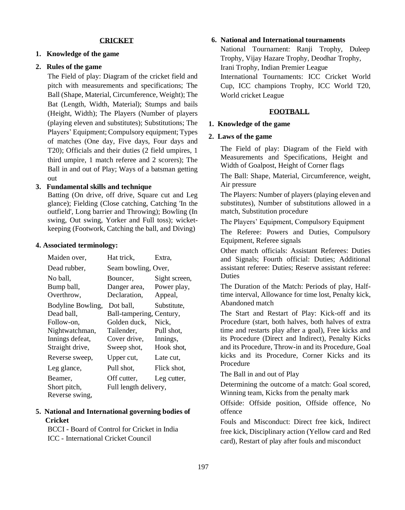#### **CRICKET**

#### **1. Knowledge of the game**

### **2. Rules of the game**

The Field of play: Diagram of the cricket field and pitch with measurements and specifications; The Ball (Shape, Material, Circumference, Weight); The Bat (Length, Width, Material); Stumps and bails (Height, Width); The Players (Number of players (playing eleven and substitutes); Substitutions; The Players' Equipment; Compulsory equipment; Types of matches (One day, Five days, Four days and T20); Officials and their duties (2 field umpires, 1 third umpire, 1 match referee and 2 scorers); The Ball in and out of Play; Ways of a batsman getting out

#### **3. Fundamental skills and technique**

Batting (On drive, off drive, Square cut and Leg glance); Fielding (Close catching, Catching 'In the outfield', Long barrier and Throwing); Bowling (In swing, Out swing, Yorker and Full toss); wicketkeeping (Footwork, Catching the ball, and Diving)

#### **4. Associated terminology:**

| Maiden over,      | Hat trick,               | Extra,        |
|-------------------|--------------------------|---------------|
| Dead rubber,      | Seam bowling, Over,      |               |
| No ball,          | Bouncer,                 | Sight screen, |
| Bump ball,        | Danger area,             | Power play,   |
| Overthrow,        | Declaration.             | Appeal,       |
| Bodyline Bowling, | Dot ball,                | Substitute,   |
| Dead ball,        | Ball-tampering, Century, |               |
| Follow-on,        | Golden duck,             | Nick,         |
| Nightwatchman,    | Tailender.               | Pull shot,    |
| Innings defeat,   | Cover drive,             | Innings,      |
| Straight drive,   | Sweep shot,              | Hook shot,    |
| Reverse sweep,    | Upper cut,               | Late cut.     |
| Leg glance,       | Pull shot,               | Flick shot,   |
| Beamer,           | Off cutter,              | Leg cutter,   |
| Short pitch,      | Full length delivery,    |               |
| Reverse swing,    |                          |               |

## **5. National and International governing bodies of Cricket**

BCCI - Board of Control for Cricket in India ICC - International Cricket Council

### **6. National and International tournaments**

National Tournament: Ranji Trophy, Duleep Trophy, Vijay Hazare Trophy, Deodhar Trophy, Irani Trophy, Indian Premier League International Tournaments: ICC Cricket World Cup, ICC champions Trophy, ICC World T20, World cricket League

#### **FOOTBALL**

#### **1. Knowledge of the game**

### **2. Laws of the game**

The Field of play: Diagram of the Field with Measurements and Specifications, Height and Width of Goalpost, Height of Corner flags

The Ball: Shape, Material, Circumference, weight, Air pressure

The Players: Number of players (playing eleven and substitutes), Number of substitutions allowed in a match, Substitution procedure

The Players' Equipment, Compulsory Equipment The Referee: Powers and Duties, Compulsory Equipment, Referee signals

Other match officials: Assistant Referees: Duties and Signals; Fourth official: Duties; Additional assistant referee: Duties; Reserve assistant referee: Duties

The Duration of the Match: Periods of play, Halftime interval, Allowance for time lost, Penalty kick, Abandoned match

The Start and Restart of Play: Kick-off and its Procedure (start, both halves, both halves of extra time and restarts play after a goal), Free kicks and its Procedure (Direct and Indirect), Penalty Kicks and its Procedure, Throw-in and its Procedure, Goal kicks and its Procedure, Corner Kicks and its Procedure

The Ball in and out of Play

Determining the outcome of a match: Goal scored, Winning team, Kicks from the penalty mark

Offside: Offside position, Offside offence, No offence

Fouls and Misconduct: Direct free kick, Indirect free kick, Disciplinary action (Yellow card and Red card), Restart of play after fouls and misconduct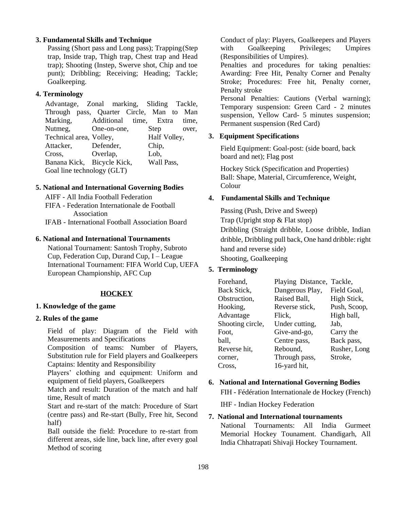#### **3. Fundamental Skills and Technique**

Passing (Short pass and Long pass); Trapping(Step trap, Inside trap, Thigh trap, Chest trap and Head trap); Shooting (Instep, Swerve shot, Chip and toe punt); Dribbling; Receiving; Heading; Tackle; Goalkeeping.

#### **4. Terminology**

Advantage, Zonal marking, Sliding Tackle, Through pass, Quarter Circle, Man to Man Marking, Additional time, Extra time, Nutmeg, One-on-one, Step over, Technical area, Volley, Half Volley, Attacker, Defender, Chip, Cross, Overlap, Lob, Banana Kick, Bicycle Kick, Wall Pass, Goal line technology (GLT)

### **5. National and International Governing Bodies**

AIFF - All India Football Federation FIFA - Federation Internationale de Football Association IFAB - International Football Association Board

### **6. National and International Tournaments**

National Tournament: Santosh Trophy, Subroto Cup, Federation Cup, Durand Cup, I – League International Tournament: FIFA World Cup, UEFA European Championship, AFC Cup

#### **HOCKEY**

#### **1. Knowledge of the game**

#### **2. Rules of the game**

Field of play: Diagram of the Field with Measurements and Specifications

Composition of teams: Number of Players, Substitution rule for Field players and Goalkeepers Captains: Identity and Responsibility

Players' clothing and equipment: Uniform and equipment of field players, Goalkeepers

Match and result: Duration of the match and half time, Result of match

Start and re-start of the match: Procedure of Start (centre pass) and Re-start (Bully, Free hit, Second half)

Ball outside the field: Procedure to re-start from different areas, side line, back line, after every goal Method of scoring

Conduct of play: Players, Goalkeepers and Players with Goalkeeping Privileges: Umpires (Responsibilities of Umpires).

Penalties and procedures for taking penalties: Awarding: Free Hit, Penalty Corner and Penalty Stroke; Procedures: Free hit, Penalty corner, Penalty stroke

Personal Penalties: Cautions (Verbal warning); Temporary suspension: Green Card - 2 minutes suspension, Yellow Card- 5 minutes suspension; Permanent suspension (Red Card)

#### **3. Equipment Specifications**

Field Equipment: Goal-post: (side board, back board and net); Flag post

Hockey Stick (Specification and Properties) Ball: Shape, Material, Circumference, Weight, Colour

#### **4. Fundamental Skills and Technique**

Passing (Push, Drive and Sweep) Trap (Upright stop & Flat stop) Dribbling (Straight dribble, Loose dribble, Indian dribble, Dribbling pull back, One hand dribble: right hand and reverse side) Shooting, Goalkeeping

### **5. Terminology**

| Forehand,        | Playing Distance, Tackle, |              |
|------------------|---------------------------|--------------|
| Back Stick,      | Dangerous Play,           | Field Goal,  |
| Obstruction,     | Raised Ball,              | High Stick,  |
| Hooking,         | Reverse stick,            | Push, Scoop, |
| Advantage        | Flick,                    | High ball,   |
| Shooting circle, | Under cutting,            | Jab,         |
| Foot.            | Give-and-go,              | Carry the    |
| ball,            | Centre pass,              | Back pass,   |
| Reverse hit,     | Rebound,                  | Rusher, Long |
| corner.          | Through pass,             | Stroke,      |
| Cross,           | 16-yard hit,              |              |
|                  |                           |              |

#### **6. National and International Governing Bodies**

FIH - Fédération Internationale de Hockey (French)

IHF - Indian Hockey Federation

#### **7. National and International tournaments**

National Tournaments: All India Gurmeet Memorial Hockey Tounament. Chandigarh, All India Chhatrapati Shivaji Hockey Tournament.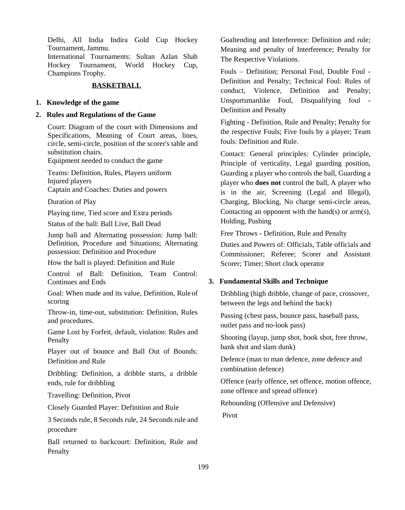Delhi, All India Indira Gold Cup Hockey Tournament, Jammu.

International Tournaments: Sultan Azlan Shah Hockey Tournament, World Hockey Cup, Champions Trophy.

#### **BASKETBALL**

### **1. Knowledge of the game**

#### **2. Rules and Regulations of the Game**

Court: Diagram of the court with Dimensions and Specifications, Meaning of Court areas, lines, circle, semi-circle, position of the scorer's table and substitution chairs.

Equipment needed to conduct the game

Teams: Definition, Rules, Players uniform Injured players Captain and Coaches: Duties and powers

Duration of Play

Playing time, Tied score and Extra periods

Status of the ball: Ball Live, Ball Dead

Jump ball and Alternating possession: Jump ball: Definition, Procedure and Situations; Alternating possession: Definition and Procedure

How the ball is played: Definition and Rule

Control of Ball: Definition, Team Control: Continues and Ends

Goal: When made and its value, Definition, Rule of scoring

Throw-in, time-out, substitution: Definition, Rules and procedures.

Game Lost by Forfeit, default, violation: Rules and Penalty

Player out of bounce and Ball Out of Bounds: Definition and Rule

Dribbling: Definition, a dribble starts, a dribble ends, rule for dribbling

Travelling: Definition, Pivot

Closely Guarded Player: Definition and Rule

3 Seconds rule, 8 Seconds rule, 24 Seconds rule and procedure

Ball returned to backcourt: Definition, Rule and Penalty

Goaltending and Interference: Definition and rule; Meaning and penalty of Interference; Penalty for The Respective Violations.

Fouls – Definition; Personal Foul, Double Foul - Definition and Penalty; Technical Foul: Rules of conduct, Violence, Definition and Penalty; Unsportsmanlike Foul, Disqualifying foul - Definition and Penalty

Fighting - Definition, Rule and Penalty; Penalty for the respective Fouls; Five fouls by a player; Team fouls: Definition and Rule.

Contact: General principles: Cylinder principle, Principle of verticality, Legal guarding position, Guarding a player who controls the ball, Guarding a player who **does not** control the ball, A player who is in the air, Screening (Legal and Illegal), Charging, Blocking, No charge semi-circle areas, Contacting an opponent with the hand(s) or arm(s), Holding, Pushing

Free Throws - Definition, Rule and Penalty

Duties and Powers of: Officials, Table officials and Commissioner; Referee; Scorer and Assistant Scorer; Timer; Short clock operator

## **3. Fundamental Skills and Technique**

Dribbling (high dribble, change of pace, crossover, between the legs and behind the back)

Passing (chest pass, bounce pass, baseball pass, outlet pass and no-look pass)

Shooting (layup, jump shot, hook shot, free throw, bank shot and slam dunk)

Defence (man to man defence, zone defence and combination defence)

Offence (early offence, set offence, motion offence, zone offence and spread offence)

Rebounding (Offensive and Defensive)

Pivot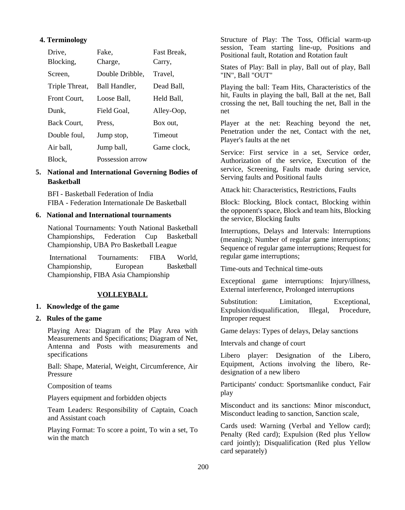#### **4. Terminology**

| Drive.         | Fake.            | Fast Break, |
|----------------|------------------|-------------|
| Blocking,      | Charge,          | Carry,      |
| Screen,        | Double Dribble.  | Travel.     |
| Triple Threat, | Ball Handler,    | Dead Ball,  |
| Front Court,   | Loose Ball.      | Held Ball,  |
| Dunk.          | Field Goal.      | Alley-Oop,  |
| Back Court.    | Press.           | Box out.    |
| Double foul,   | Jump stop,       | Timeout     |
| Air ball,      | Jump ball,       | Game clock. |
| Block,         | Possession arrow |             |

## **5. National and International Governing Bodies of Basketball**

BFI - Basketball Federation of India FIBA - Federation Internationale De Basketball

#### **6. National and International tournaments**

National Tournaments: Youth National Basketball Championships, Federation Cup Basketball Championship, UBA Pro Basketball League

International Tournaments: FIBA World, Championship, European Basketball Championship, FIBA Asia Championship

### **VOLLEYBALL**

### **1. Knowledge of the game**

#### **2. Rules of the game**

Playing Area: Diagram of the Play Area with Measurements and Specifications; Diagram of Net, Antenna and Posts with measurements and specifications

Ball: Shape, Material, Weight, Circumference, Air Pressure

Composition of teams

Players equipment and forbidden objects

Team Leaders: Responsibility of Captain, Coach and Assistant coach

Playing Format: To score a point, To win a set, To win the match

Structure of Play: The Toss, Official warm-up session, Team starting line-up, Positions and Positional fault, Rotation and Rotation fault

States of Play: Ball in play, Ball out of play, Ball "IN", Ball "OUT"

Playing the ball: Team Hits, Characteristics of the hit, Faults in playing the ball, Ball at the net, Ball crossing the net, Ball touching the net, Ball in the net

Player at the net: Reaching beyond the net, Penetration under the net, Contact with the net, Player's faults at the net

Service: First service in a set, Service order, Authorization of the service, Execution of the service, Screening, Faults made during service, Serving faults and Positional faults

Attack hit: Characteristics, Restrictions, Faults

Block: Blocking, Block contact, Blocking within the opponent's space, Block and team hits, Blocking the service, Blocking faults

Interruptions, Delays and Intervals: Interruptions (meaning); Number of regular game interruptions; Sequence of regular game interruptions; Request for regular game interruptions;

Time-outs and Technical time-outs

Exceptional game interruptions: Injury/illness, External interference, Prolonged interruptions

Substitution: Limitation, Exceptional, Expulsion/disqualification, Illegal, Procedure, Improper request

Game delays: Types of delays, Delay sanctions

Intervals and change of court

Libero player: Designation of the Libero, Equipment, Actions involving the libero, Redesignation of a new libero

Participants' conduct: Sportsmanlike conduct, Fair play

Misconduct and its sanctions: Minor misconduct, Misconduct leading to sanction, Sanction scale,

Cards used: Warning (Verbal and Yellow card); Penalty (Red card); Expulsion (Red plus Yellow card jointly); Disqualification (Red plus Yellow card separately)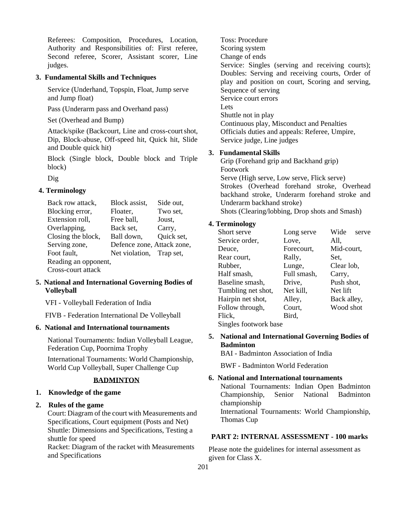Referees: Composition, Procedures, Location, Authority and Responsibilities of: First referee, Second referee, Scorer, Assistant scorer, Line judges.

## **3. Fundamental Skills and Techniques**

Service (Underhand, Topspin, Float, Jump serve and Jump float)

Pass (Underarm pass and Overhand pass)

Set (Overhead and Bump)

Attack/spike (Backcourt, Line and cross-court shot, Dip, Block-abuse, Off-speed hit, Quick hit, Slide and Double quick hit)

Block (Single block, Double block and Triple block)

Dig

## **4. Terminology**

| Back row attack,     | Block assist,              | Side out,  |
|----------------------|----------------------------|------------|
| Blocking error,      | Floater,                   | Two set,   |
| Extension roll,      | Free ball,                 | Joust,     |
| Overlapping,         | Back set,                  | Carry,     |
| Closing the block,   | Ball down,                 | Quick set, |
| Serving zone,        | Defence zone, Attack zone, |            |
| Foot fault,          | Net violation, Trap set,   |            |
| Reading an opponent, |                            |            |
| Cross-court attack   |                            |            |

## **5. National and International Governing Bodies of Volleyball**

VFI - Volleyball Federation of India

FIVB - Federation International De Volleyball

## **6. National and International tournaments**

National Tournaments: Indian Volleyball League, Federation Cup, Poornima Trophy

International Tournaments: World Championship, World Cup Volleyball, Super Challenge Cup

## **BADMINTON**

### **1. Knowledge of the game**

## **2. Rules of the game**

Court: Diagram of the court with Measurements and Specifications, Court equipment (Posts and Net) Shuttle: Dimensions and Specifications, Testing a shuttle for speed

Racket: Diagram of the racket with Measurements and Specifications

Toss: Procedure Scoring system Change of ends Service: Singles (serving and receiving courts); Doubles: Serving and receiving courts, Order of play and position on court, Scoring and serving, Sequence of serving Service court errors Lets Shuttle not in play Continuous play, Misconduct and Penalties Officials duties and appeals: Referee, Umpire, Service judge, Line judges

## **3. Fundamental Skills**

Grip (Forehand grip and Backhand grip) Footwork Serve (High serve, Low serve, Flick serve) Strokes (Overhead forehand stroke, Overhead backhand stroke, Underarm forehand stroke and Underarm backhand stroke)

Shots (Clearing/lobbing, Drop shots and Smash)

## **4. Terminology**

| Short serve           | Long serve  | Wide<br>serve |
|-----------------------|-------------|---------------|
| Service order,        | Love,       | All,          |
| Deuce.                | Forecourt,  | Mid-court,    |
| Rear court,           | Rally,      | Set.          |
| Rubber,               | Lunge,      | Clear lob,    |
| Half smash,           | Full smash, | Carry,        |
| Baseline smash,       | Drive,      | Push shot,    |
| Tumbling net shot,    | Net kill,   | Net lift      |
| Hairpin net shot,     | Alley,      | Back alley,   |
| Follow through,       | Court,      | Wood shot     |
| Flick,                | Bird.       |               |
| Singles footwork base |             |               |

**5. National and International Governing Bodies of Badminton**

BAI - Badminton Association of India

BWF - Badminton World Federation

## **6. National and International tournaments**

National Tournaments: Indian Open Badminton Championship, Senior National Badminton championship International Tournaments: World Championship, Thomas Cup

## **PART 2: INTERNAL ASSESSMENT - 100 marks**

Please note the guidelines for internal assessment as given for Class X.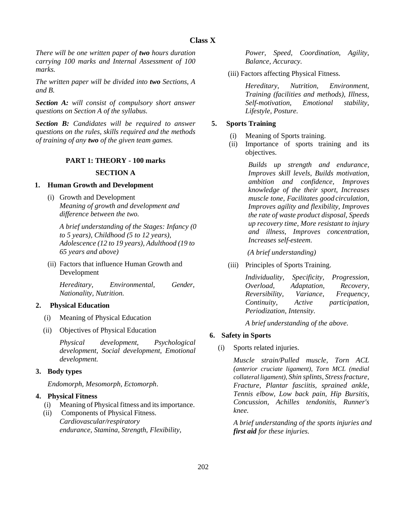*There will be one written paper of two hours duration carrying 100 marks and Internal Assessment of 100 marks.*

*The written paper will be divided into two Sections, A and B.*

*Section A: will consist of compulsory short answer questions on Section A of the syllabus.*

*Section B: Candidates will be required to answer questions on the rules, skills required and the methods of training of any two of the given team games.*

## **PART 1: THEORY - 100 marks**

### **SECTION A**

#### **1. Human Growth and Development**

(i) Growth and Development *Meaning of growth and development and difference between the two.*

*A brief understanding of the Stages: Infancy (0 to 5 years), Childhood (5 to 12 years), Adolescence (12 to 19 years), Adulthood (19 to 65 years and above)*

(ii) Factors that influence Human Growth and Development

*Hereditary, Environmental, Gender, Nationality, Nutrition.*

## **2. Physical Education**

- (i) Meaning of Physical Education
- (ii) Objectives of Physical Education

*Physical development, Psychological development, Social development, Emotional development.*

## **3. Body types**

*Endomorph, Mesomorph, Ectomorph*.

## **4. Physical Fitness**

- (i) Meaning of Physical fitness and itsimportance.
- (ii) Components of Physical Fitness. *Cardiovascular/respiratory endurance, Stamina, Strength, Flexibility,*

*Power, Speed, Coordination, Agility, Balance, Accuracy.*

(iii) Factors affecting Physical Fitness.

*Hereditary, Nutrition, Environment, Training (facilities and methods), Illness, Self-motivation, Emotional stability, Lifestyle, Posture.*

### **5. Sports Training**

- (i) Meaning of Sports training.
- (ii) Importance of sports training and its objectives.

*Builds up strength and endurance, Improves skill levels, Builds motivation, ambition and confidence, Improves knowledge of the their sport, Increases muscle tone, Facilitates good circulation, Improves agility and flexibility, Improves the rate of waste product disposal, Speeds up recovery time, More resistant to injury and illness, Improves concentration, Increases self-esteem.*

*(A brief understanding)*

(iii) Principles of Sports Training.

| <i>Individuality,</i>     | Specificity,     | Progression,   |
|---------------------------|------------------|----------------|
| Overload,                 | Adaptation,      | Recovery,      |
| Reversibility,            | <i>Variance,</i> | Frequency,     |
| Continuity,               | Active           | participation, |
| Periodization, Intensity. |                  |                |

*A brief understanding of the above.*

## **6. Safety in Sports**

(i) Sports related injuries.

*Muscle strain/Pulled muscle, Torn ACL (anterior cruciate ligament), Torn MCL (medial collateralligament), Shin splints, Stressfracture, Fracture, Plantar fasciitis, sprained ankle, Tennis elbow, Low back pain, Hip Bursitis, Concussion, Achilles tendonitis, Runner's knee.*

*A brief understanding of the sports injuries and first aid for these injuries.*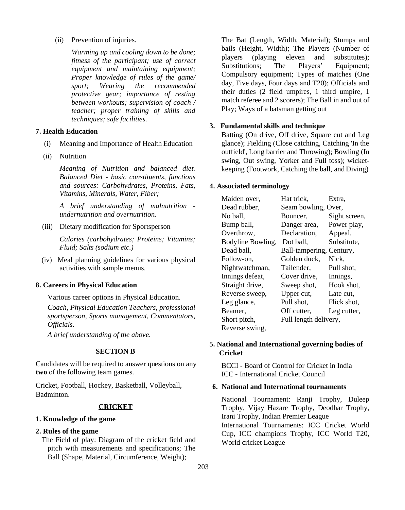(ii) Prevention of injuries.

*Warming up and cooling down to be done; fitness of the participant; use of correct equipment and maintaining equipment; Proper knowledge of rules of the game/ sport; Wearing the recommended protective gear; importance of resting between workouts; supervision of coach / teacher; proper training of skills and techniques; safe facilities.*

## **7. Health Education**

- (i) Meaning and Importance of Health Education
- (ii) Nutrition

*Meaning of Nutrition and balanced diet. Balanced Diet - basic constituents, functions and sources: Carbohydrates, Proteins, Fats, Vitamins, Minerals, Water, Fiber;*

*A brief understanding of malnutrition undernutrition and overnutrition.*

(iii) Dietary modification for Sportsperson

*Calories (carbohydrates; Proteins; Vitamins; Fluid; Salts (sodium etc.)*

(iv) Meal planning guidelines for various physical activities with sample menus.

## **8. Careers in Physical Education**

Various career options in Physical Education.

*Coach, Physical Education Teachers, professional sportsperson, Sports management, Commentators, Officials.*

*A brief understanding of the above.*

## **SECTION B**

Candidates will be required to answer questions on any **two** of the following team games.

Cricket, Football, Hockey, Basketball, Volleyball, Badminton.

## **CRICKET**

## **1. Knowledge of the game**

#### **2. Rules of the game**

The Field of play: Diagram of the cricket field and pitch with measurements and specifications; The Ball (Shape, Material, Circumference, Weight);

The Bat (Length, Width, Material); Stumps and bails (Height, Width); The Players (Number of players (playing eleven and substitutes); Substitutions: The Players' Equipment: Compulsory equipment; Types of matches (One day, Five days, Four days and T20); Officials and their duties (2 field umpires, 1 third umpire, 1 match referee and 2 scorers); The Ball in and out of Play; Ways of a batsman getting out

#### **3. Fundamental skills and technique**

Batting (On drive, Off drive, Square cut and Leg glance); Fielding (Close catching, Catching 'In the outfield', Long barrier and Throwing); Bowling (In swing, Out swing, Yorker and Full toss); wicketkeeping (Footwork, Catching the ball, and Diving)

#### **4. Associated terminology**

| Maiden over,      | Hat trick,               | Extra.        |
|-------------------|--------------------------|---------------|
| Dead rubber,      | Seam bowling, Over,      |               |
| No ball,          | Bouncer,                 | Sight screen, |
| Bump ball,        | Danger area,             | Power play,   |
| Overthrow,        | Declaration,             | Appeal,       |
| Bodyline Bowling, | Dot ball,                | Substitute,   |
| Dead ball,        | Ball-tampering, Century, |               |
| Follow-on,        | Golden duck,             | Nick,         |
| Nightwatchman,    | Tailender,               | Pull shot,    |
| Innings defeat,   | Cover drive,             | Innings,      |
| Straight drive,   | Sweep shot,              | Hook shot,    |
| Reverse sweep,    | Upper cut,               | Late cut,     |
| Leg glance,       | Pull shot,               | Flick shot,   |
| Beamer,           | Off cutter,              | Leg cutter,   |
| Short pitch,      | Full length delivery,    |               |
| Reverse swing,    |                          |               |

## **5. National and International governing bodies of Cricket**

BCCI - Board of Control for Cricket in India ICC - International Cricket Council

## **6. National and International tournaments**

National Tournament: Ranji Trophy, Duleep Trophy, Vijay Hazare Trophy, Deodhar Trophy, Irani Trophy, Indian Premier League International Tournaments: ICC Cricket World Cup, ICC champions Trophy, ICC World T20, World cricket League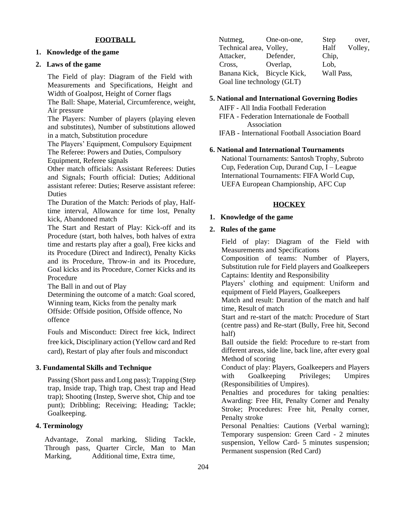### **FOOTBALL**

#### **1. Knowledge of the game**

#### **2. Laws of the game**

The Field of play: Diagram of the Field with Measurements and Specifications, Height and Width of Goalpost, Height of Corner flags

The Ball: Shape, Material, Circumference, weight, Air pressure

The Players: Number of players (playing eleven and substitutes), Number of substitutions allowed in a match, Substitution procedure

The Players' Equipment, Compulsory Equipment The Referee: Powers and Duties, Compulsory Equipment, Referee signals

Other match officials: Assistant Referees: Duties and Signals; Fourth official: Duties; Additional assistant referee: Duties; Reserve assistant referee: **Duties** 

The Duration of the Match: Periods of play, Halftime interval, Allowance for time lost, Penalty kick, Abandoned match

The Start and Restart of Play: Kick-off and its Procedure (start, both halves, both halves of extra time and restarts play after a goal), Free kicks and its Procedure (Direct and Indirect), Penalty Kicks and its Procedure, Throw-in and its Procedure, Goal kicks and its Procedure, Corner Kicks and its Procedure

The Ball in and out of Play

Determining the outcome of a match: Goal scored, Winning team, Kicks from the penalty mark Offside: Offside position, Offside offence, No offence

Fouls and Misconduct: Direct free kick, Indirect free kick, Disciplinary action (Yellow card and Red card), Restart of play after fouls and misconduct

#### **3. Fundamental Skills and Technique**

Passing (Short pass and Long pass); Trapping (Step trap, Inside trap, Thigh trap, Chest trap and Head trap); Shooting (Instep, Swerve shot, Chip and toe punt); Dribbling; Receiving; Heading; Tackle; Goalkeeping.

### **4. Terminology**

Advantage, Zonal marking, Sliding Tackle, Through pass, Quarter Circle, Man to Man Marking, Additional time, Extra time,

| Nutmeg,                    | One-on-one, | <b>Step</b> | over,   |
|----------------------------|-------------|-------------|---------|
| Technical area, Volley,    |             | Half        | Volley, |
| Attacker,                  | Defender,   | Chip,       |         |
| Cross,                     | Overlap,    | Lob,        |         |
| Banana Kick, Bicycle Kick, |             | Wall Pass,  |         |
| Goal line technology (GLT) |             |             |         |

#### **5. National and International Governing Bodies**

AIFF - All India Football Federation FIFA - Federation Internationale de Football Association IFAB - International Football Association Board

#### **6. National and International Tournaments**

National Tournaments: Santosh Trophy, Subroto Cup, Federation Cup, Durand Cup, I – League International Tournaments: FIFA World Cup, UEFA European Championship, AFC Cup

#### **HOCKEY**

### **1. Knowledge of the game**

#### **2. Rules of the game**

Field of play: Diagram of the Field with Measurements and Specifications

Composition of teams: Number of Players, Substitution rule for Field players and Goalkeepers Captains: Identity and Responsibility

Players' clothing and equipment: Uniform and equipment of Field Players, Goalkeepers

Match and result: Duration of the match and half time, Result of match

Start and re-start of the match: Procedure of Start (centre pass) and Re-start (Bully, Free hit, Second half)

Ball outside the field: Procedure to re-start from different areas, side line, back line, after every goal Method of scoring

Conduct of play: Players, Goalkeepers and Players with Goalkeeping Privileges; Umpires (Responsibilities of Umpires).

Penalties and procedures for taking penalties: Awarding: Free Hit, Penalty Corner and Penalty Stroke; Procedures: Free hit, Penalty corner, Penalty stroke

Personal Penalties: Cautions (Verbal warning); Temporary suspension: Green Card - 2 minutes suspension, Yellow Card- 5 minutes suspension; Permanent suspension (Red Card)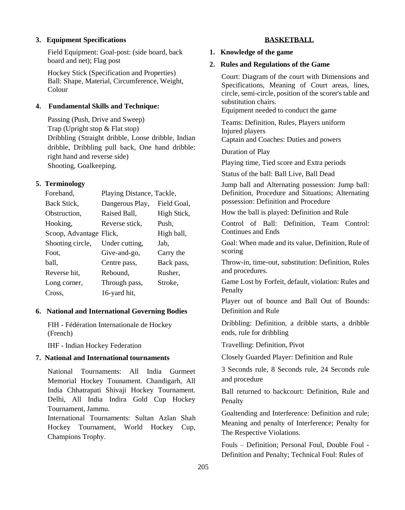#### **3. Equipment Specifications**

Field Equipment: Goal-post: (side board, back board and net); Flag post

Hockey Stick (Specification and Properties) Ball: Shape, Material, Circumference, Weight, Colour

#### **4. Fundamental Skills and Technique:**

Passing (Push, Drive and Sweep) Trap (Upright stop & Flat stop) Dribbling (Straight dribble, Loose dribble, Indian dribble, Dribbling pull back, One hand dribble: right hand and reverse side) Shooting, Goalkeeping.

#### **5. Terminology**

| Forehand,               | Playing Distance, Tackle, |             |
|-------------------------|---------------------------|-------------|
| Back Stick,             | Dangerous Play,           | Field Goal, |
| Obstruction,            | Raised Ball,              | High Stick, |
| Hooking,                | Reverse stick,            | Push,       |
| Scoop, Advantage Flick, |                           | High ball,  |
| Shooting circle,        | Under cutting,            | Jab.        |
| Foot.                   | Give-and-go,              | Carry the   |
| ball,                   | Centre pass,              | Back pass,  |
| Reverse hit,            | Rebound,                  | Rusher,     |
| Long corner,            | Through pass,             | Stroke,     |
| Cross,                  | 16-yard hit,              |             |

#### **6. National and International Governing Bodies**

FIH - Fédération Internationale de Hockey (French)

IHF - Indian Hockey Federation

### **7. National and International tournaments**

National Tournaments: All India Gurmeet Memorial Hockey Tounament. Chandigarh, All India Chhatrapati Shivaji Hockey Tournament. Delhi, All India Indira Gold Cup Hockey Tournament, Jammu.

International Tournaments: Sultan Azlan Shah Hockey Tournament, World Hockey Cup, Champions Trophy.

#### **BASKETBALL**

#### **1. Knowledge of the game**

#### **2. Rules and Regulations of the Game**

Court: Diagram of the court with Dimensions and Specifications, Meaning of Court areas, lines, circle, semi-circle, position of the scorer's table and substitution chairs.

Equipment needed to conduct the game

Teams: Definition, Rules, Players uniform Injured players Captain and Coaches: Duties and powers

Duration of Play

Playing time, Tied score and Extra periods

Status of the ball: Ball Live, Ball Dead

Jump ball and Alternating possession: Jump ball: Definition, Procedure and Situations; Alternating possession: Definition and Procedure

How the ball is played: Definition and Rule

Control of Ball: Definition, Team Control: Continues and Ends

Goal: When made and its value, Definition, Rule of scoring

Throw-in, time-out, substitution: Definition, Rules and procedures.

Game Lost by Forfeit, default, violation: Rules and Penalty

Player out of bounce and Ball Out of Bounds: Definition and Rule

Dribbling: Definition, a dribble starts, a dribble ends, rule for dribbling

Travelling: Definition, Pivot

Closely Guarded Player: Definition and Rule

3 Seconds rule, 8 Seconds rule, 24 Seconds rule and procedure

Ball returned to backcourt: Definition, Rule and Penalty

Goaltending and Interference: Definition and rule; Meaning and penalty of Interference; Penalty for The Respective Violations.

Fouls – Definition; Personal Foul, Double Foul - Definition and Penalty; Technical Foul: Rules of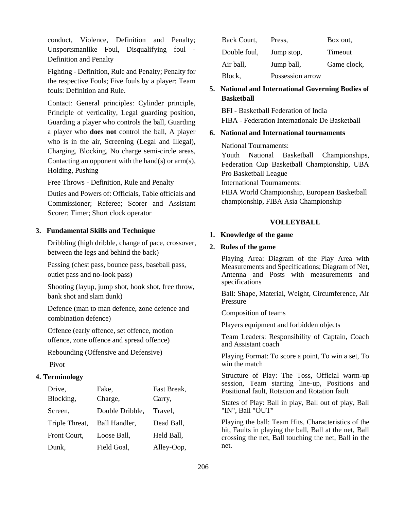conduct, Violence, Definition and Penalty; Unsportsmanlike Foul, Disqualifying foul - Definition and Penalty

Fighting - Definition, Rule and Penalty; Penalty for the respective Fouls; Five fouls by a player; Team fouls: Definition and Rule.

Contact: General principles: Cylinder principle, Principle of verticality, Legal guarding position, Guarding a player who controls the ball, Guarding a player who **does not** control the ball, A player who is in the air, Screening (Legal and Illegal), Charging, Blocking, No charge semi-circle areas, Contacting an opponent with the hand(s) or  $arm(s)$ , Holding, Pushing

Free Throws - Definition, Rule and Penalty Duties and Powers of: Officials, Table officials and Commissioner; Referee; Scorer and Assistant Scorer; Timer; Short clock operator

#### **3. Fundamental Skills and Technique**

Dribbling (high dribble, change of pace, crossover, between the legs and behind the back)

Passing (chest pass, bounce pass, baseball pass, outlet pass and no-look pass)

Shooting (layup, jump shot, hook shot, free throw, bank shot and slam dunk)

Defence (man to man defence, zone defence and combination defence)

Offence (early offence, set offence, motion offence, zone offence and spread offence)

Rebounding (Offensive and Defensive)

Pivot

#### **4. Terminology**

| Drive,         | Fake,           | Fast Break, |
|----------------|-----------------|-------------|
| Blocking,      | Charge,         | Carry,      |
| Screen,        | Double Dribble, | Travel,     |
| Triple Threat, | Ball Handler,   | Dead Ball,  |
| Front Court,   | Loose Ball,     | Held Ball,  |
| Dunk,          | Field Goal,     | Alley-Oop,  |

| Back Court,  | Press,           | Box out.    |
|--------------|------------------|-------------|
| Double foul, | Jump stop,       | Timeout     |
| Air ball,    | Jump ball,       | Game clock, |
| Block,       | Possession arrow |             |

## **5. National and International Governing Bodies of Basketball**

BFI - Basketball Federation of India FIBA - Federation Internationale De Basketball

#### **6. National and International tournaments**

National Tournaments:

Youth National Basketball Championships, Federation Cup Basketball Championship, UBA Pro Basketball League International Tournaments: FIBA World Championship, European Basketball championship, FIBA Asia Championship

#### **VOLLEYBALL**

#### **1. Knowledge of the game**

#### **2. Rules of the game**

Playing Area: Diagram of the Play Area with Measurements and Specifications; Diagram of Net, Antenna and Posts with measurements and specifications

Ball: Shape, Material, Weight, Circumference, Air Pressure

Composition of teams

Players equipment and forbidden objects

Team Leaders: Responsibility of Captain, Coach and Assistant coach

Playing Format: To score a point, To win a set, To win the match

Structure of Play: The Toss, Official warm-up session, Team starting line-up, Positions and Positional fault, Rotation and Rotation fault

States of Play: Ball in play, Ball out of play, Ball "IN", Ball "OUT"

Playing the ball: Team Hits, Characteristics of the hit, Faults in playing the ball, Ball at the net, Ball crossing the net, Ball touching the net, Ball in the net.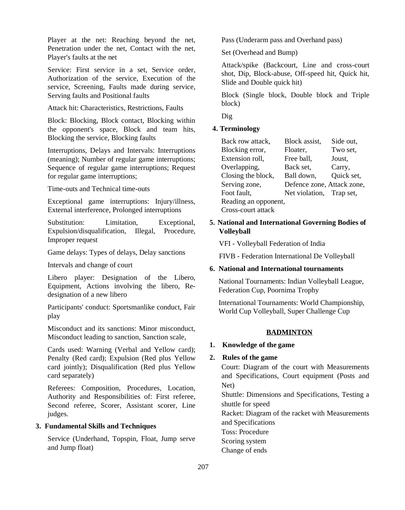Player at the net: Reaching beyond the net. Penetration under the net, Contact with the net, Player's faults at the net

Service: First service in a set, Service order, Authorization of the service, Execution of the service, Screening, Faults made during service, Serving faults and Positional faults

Attack hit: Characteristics, Restrictions, Faults

Block: Blocking, Block contact, Blocking within the opponent's space, Block and team hits, Blocking the service, Blocking faults

Interruptions, Delays and Intervals: Interruptions (meaning); Number of regular game interruptions; Sequence of regular game interruptions; Request for regular game interruptions;

Time-outs and Technical time-outs

Exceptional game interruptions: Injury/illness, External interference, Prolonged interruptions

Substitution: Limitation, Exceptional, Expulsion/disqualification, Illegal, Procedure, Improper request

Game delays: Types of delays, Delay sanctions

Intervals and change of court

Libero player: Designation of the Libero, Equipment, Actions involving the libero, Redesignation of a new libero

Participants' conduct: Sportsmanlike conduct, Fair play

Misconduct and its sanctions: Minor misconduct, Misconduct leading to sanction, Sanction scale,

Cards used: Warning (Verbal and Yellow card); Penalty (Red card); Expulsion (Red plus Yellow card jointly); Disqualification (Red plus Yellow card separately)

Referees: Composition, Procedures, Location, Authority and Responsibilities of: First referee, Second referee, Scorer, Assistant scorer, Line judges.

#### **3. Fundamental Skills and Techniques**

Service (Underhand, Topspin, Float, Jump serve and Jump float)

Pass (Underarm pass and Overhand pass)

Set (Overhead and Bump)

Attack/spike (Backcourt, Line and cross-court shot, Dip, Block-abuse, Off-speed hit, Quick hit, Slide and Double quick hit)

Block (Single block, Double block and Triple block)

Dig

#### **4. Terminology**

| Back row attack,     | Block assist,              | Side out,  |
|----------------------|----------------------------|------------|
| Blocking error,      | Floater,                   | Two set,   |
| Extension roll,      | Free ball,                 | Joust,     |
| Overlapping,         | Back set,                  | Carry,     |
| Closing the block,   | Ball down,                 | Quick set, |
| Serving zone,        | Defence zone, Attack zone, |            |
| Foot fault,          | Net violation, Trap set,   |            |
| Reading an opponent, |                            |            |
| Cross-court attack   |                            |            |

## **5. National and International Governing Bodies of Volleyball**

VFI - Volleyball Federation of India

FIVB - Federation International De Volleyball

#### **6. National and International tournaments**

National Tournaments: Indian Volleyball League, Federation Cup, Poornima Trophy

International Tournaments: World Championship, World Cup Volleyball, Super Challenge Cup

#### **BADMINTON**

## **1. Knowledge of the game**

#### **2. Rules of the game**

Court: Diagram of the court with Measurements and Specifications, Court equipment (Posts and Net)

Shuttle: Dimensions and Specifications, Testing a shuttle for speed

Racket: Diagram of the racket with Measurements and Specifications

Toss: Procedure

Scoring system

Change of ends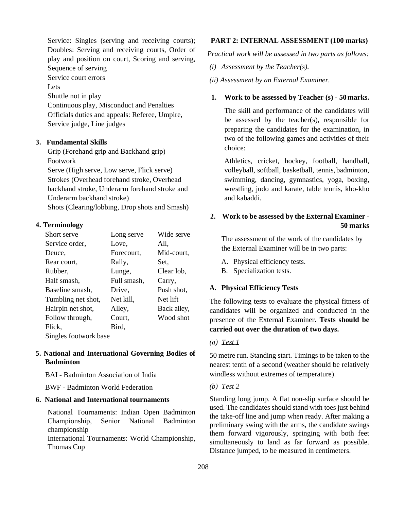Service: Singles (serving and receiving courts); Doubles: Serving and receiving courts, Order of play and position on court, Scoring and serving, Sequence of serving

Service court errors

Lets

Shuttle not in play

Continuous play, Misconduct and Penalties Officials duties and appeals: Referee, Umpire, Service judge, Line judges

## **3. Fundamental Skills**

Grip (Forehand grip and Backhand grip) Footwork Serve (High serve, Low serve, Flick serve) Strokes (Overhead forehand stroke, Overhead backhand stroke, Underarm forehand stroke and Underarm backhand stroke)

Shots (Clearing/lobbing, Drop shots and Smash)

## **4. Terminology**

| Short serve           | Long serve  | Wide serve  |  |  |  |  |  |
|-----------------------|-------------|-------------|--|--|--|--|--|
| Service order,        | Love,       | All,        |  |  |  |  |  |
| Deuce.                | Forecourt,  | Mid-court,  |  |  |  |  |  |
| Rear court,           | Rally,      | Set.        |  |  |  |  |  |
| Rubber,               | Lunge,      | Clear lob,  |  |  |  |  |  |
| Half smash,           | Full smash, | Carry,      |  |  |  |  |  |
| Baseline smash,       | Drive.      | Push shot,  |  |  |  |  |  |
| Tumbling net shot,    | Net kill,   | Net lift    |  |  |  |  |  |
| Hairpin net shot,     | Alley,      | Back alley, |  |  |  |  |  |
| Follow through,       | Court.      | Wood shot   |  |  |  |  |  |
| Flick,                | Bird,       |             |  |  |  |  |  |
| Singles footwork base |             |             |  |  |  |  |  |

## **5. National and International Governing Bodies of Badminton**

BAI - Badminton Association of India

BWF - Badminton World Federation

## **6. National and International tournaments**

National Tournaments: Indian Open Badminton Championship, Senior National Badminton championship International Tournaments: World Championship,

Thomas Cup

### **PART 2: INTERNAL ASSESSMENT (100 marks)**

*Practical work will be assessed in two parts as follows:*

- *(i) Assessment by the Teacher(s).*
- *(ii) Assessment by an External Examiner.*

## **1. Work to be assessed by Teacher (s) - 50 marks.**

The skill and performance of the candidates will be assessed by the teacher(s), responsible for preparing the candidates for the examination, in two of the following games and activities of their choice:

Athletics, cricket, hockey, football, handball, volleyball, softball, basketball, tennis,badminton, swimming, dancing, gymnastics, yoga, boxing, wrestling, judo and karate, table tennis, kho-kho and kabaddi.

## **2. Work to be assessed by the External Examiner - 50 marks**

The assessment of the work of the candidates by the External Examiner will be in two parts:

A. Physical efficiency tests.

B. Specialization tests.

## **A. Physical Efficiency Tests**

The following tests to evaluate the physical fitness of candidates will be organized and conducted in the presence of the External Examiner**. Tests should be carried out over the duration of two days.**

## *(a) Test 1*

50 metre run. Standing start. Timings to be taken to the nearest tenth of a second (weather should be relatively windless without extremes of temperature).

## *(b) Test 2*

Standing long jump. A flat non-slip surface should be used. The candidates should stand with toes just behind the take-off line and jump when ready. After making a preliminary swing with the arms, the candidate swings them forward vigorously, springing with both feet simultaneously to land as far forward as possible. Distance jumped, to be measured in centimeters.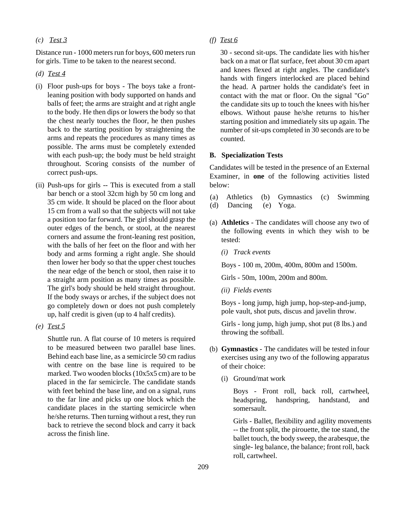### *(c) Test 3*

Distance run - 1000 meters run for boys, 600 meters run for girls. Time to be taken to the nearest second.

- *(d) Test 4*
- (i) Floor push-ups for boys The boys take a frontleaning position with body supported on hands and balls of feet; the arms are straight and at right angle to the body. He then dips or lowers the body so that the chest nearly touches the floor, he then pushes back to the starting position by straightening the arms and repeats the procedures as many times as possible. The arms must be completely extended with each push-up; the body must be held straight throughout. Scoring consists of the number of correct push-ups.
- (ii) Push-ups for girls -- This is executed from a stall bar bench or a stool 32cm high by 50 cm long and 35 cm wide. It should be placed on the floor about 15 cm from a wall so that the subjects will not take a position too far forward. The girl should grasp the outer edges of the bench, or stool, at the nearest corners and assume the front-leaning rest position, with the balls of her feet on the floor and with her body and arms forming a right angle. She should then lower her body so that the upper chest touches the near edge of the bench or stool, then raise it to a straight arm position as many times as possible. The girl's body should be held straight throughout. If the body sways or arches, if the subject does not go completely down or does not push completely up, half credit is given (up to 4 half credits).
- *(e) Test 5*

Shuttle run. A flat course of 10 meters is required to be measured between two parallel base lines. Behind each base line, as a semicircle 50 cm radius with centre on the base line is required to be marked. Two wooden blocks (10x5x5 cm) are to be placed in the far semicircle. The candidate stands with feet behind the base line, and on a signal, runs to the far line and picks up one block which the candidate places in the starting semicircle when he/she returns. Then turning without a rest, they run back to retrieve the second block and carry it back across the finish line.

*(f) Test 6*

30 - second sit-ups. The candidate lies with his/her back on a mat or flat surface, feet about 30 cm apart and knees flexed at right angles. The candidate's hands with fingers interlocked are placed behind the head. A partner holds the candidate's feet in contact with the mat or floor. On the signal "Go" the candidate sits up to touch the knees with his/her elbows. Without pause he/she returns to his/her starting position and immediately sits up again. The number of sit-ups completed in 30 seconds are to be counted.

#### **B. Specialization Tests**

Candidates will be tested in the presence of an External Examiner, in **one** of the following activities listed below:

- (a) Athletics (b) Gymnastics (c) Swimming
- (d) Dancing (e) Yoga.
- (a) **Athletics**  The candidates will choose any two of the following events in which they wish to be tested:
	- *(i) Track events*

Boys - 100 m, 200m, 400m, 800m and 1500m.

Girls - 50m, 100m, 200m and 800m.

*(ii) Fields events*

Boys - long jump, high jump, hop-step-and-jump, pole vault, shot puts, discus and javelin throw.

Girls - long jump, high jump, shot put (8 lbs.) and throwing the softball.

- (b) **Gymnastics**  The candidates will be tested infour exercises using any two of the following apparatus of their choice:
	- (i) Ground/mat work

Boys - Front roll, back roll, cartwheel, headspring, handspring, handstand, and somersault.

Girls - Ballet, flexibility and agility movements -- the front split, the pirouette, the toe stand, the ballet touch, the body sweep, the arabesque, the single- leg balance, the balance; front roll, back roll, cartwheel.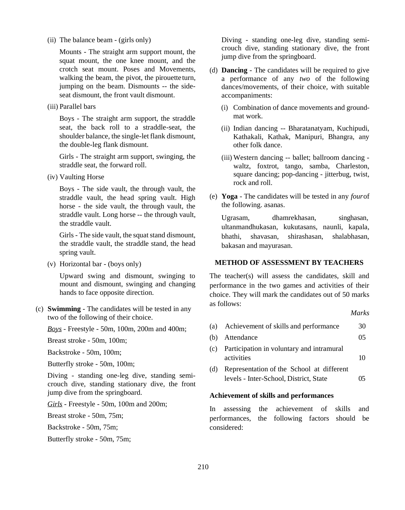(ii) The balance beam - (girls only)

Mounts - The straight arm support mount, the squat mount, the one knee mount, and the crotch seat mount. Poses and Movements, walking the beam, the pivot, the pirouette turn, jumping on the beam. Dismounts -- the sideseat dismount, the front vault dismount.

(iii) Parallel bars

Boys - The straight arm support, the straddle seat, the back roll to a straddle-seat, the shoulder balance, the single-let flank dismount, the double-leg flank dismount.

Girls - The straight arm support, swinging, the straddle seat, the forward roll.

(iv) Vaulting Horse

Boys - The side vault, the through vault, the straddle vault, the head spring vault. High horse - the side vault, the through vault, the straddle vault. Long horse -- the through vault, the straddle vault.

Girls - The side vault, the squat stand dismount, the straddle vault, the straddle stand, the head spring vault.

(v) Horizontal bar - (boys only)

Upward swing and dismount, swinging to mount and dismount, swinging and changing hands to face opposite direction.

(c) **Swimming** - The candidates will be tested in any two of the following of their choice.

*Boys* - Freestyle - 50m, 100m, 200m and 400m;

Breast stroke - 50m, 100m;

Backstroke - 50m, 100m;

Butterfly stroke - 50m, 100m;

Diving - standing one-leg dive, standing semicrouch dive, standing stationary dive, the front jump dive from the springboard.

*Girls* - Freestyle - 50m, 100m and 200m;

Breast stroke - 50m, 75m;

Backstroke - 50m, 75m;

Butterfly stroke - 50m, 75m;

Diving - standing one-leg dive, standing semicrouch dive, standing stationary dive, the front jump dive from the springboard.

- (d) **Dancing**  The candidates will be required to give a performance of any *two* of the following dances/movements, of their choice, with suitable accompaniments:
	- (i) Combination of dance movements and groundmat work.
	- (ii) Indian dancing -- Bharatanatyam, Kuchipudi, Kathakali, Kathak, Manipuri, Bhangra, any other folk dance.
	- (iii) Western dancing -- ballet; ballroom dancing waltz, foxtrot, tango, samba, Charleston. square dancing; pop-dancing - jitterbug, twist, rock and roll.
- (e) **Yoga**  The candidates will be tested in any *four*of the following. asanas.

Ugrasam, dhamrekhasan, singhasan, ultanmandhukasan, kukutasans, naunli, kapala, bhathi, shavasan, shirashasan, shalabhasan, bakasan and mayurasan.

## **METHOD OF ASSESSMENT BY TEACHERS**

The teacher(s) will assess the candidates, skill and performance in the two games and activities of their choice. They will mark the candidates out of 50 marks as follows:

*Marks*

| (a) Achievement of skills and performance   | 30 |
|---------------------------------------------|----|
| (b) Attendance                              | 05 |
| (a) Development in voluntary and intremural |    |

- (c) Participation in voluntary and intramural activities 10
- (d) Representation of the School at different levels - Inter-School, District, State 05

#### **Achievement of skills and performances**

In assessing the achievement of skills and performances, the following factors should be considered: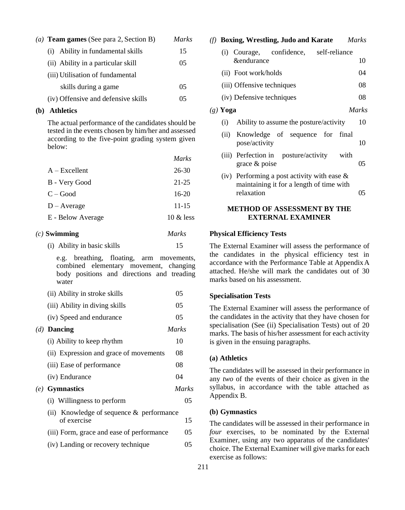| (a) <b>Team games</b> (See para 2, Section B) | <b>Marks</b> |
|-----------------------------------------------|--------------|
| (i) Ability in fundamental skills             | 15           |
| (ii) Ability in a particular skill            | 05           |
| (iii) Utilisation of fundamental              |              |
| skills during a game                          | 05           |
| (iv) Offensive and defensive skills           | 05           |

#### **(b) Athletics**

The actual performance of the candidates should be tested in the events chosen by him/her and assessed according to the five-point grading system given below:

|                   | <i>Marks</i> |
|-------------------|--------------|
| $A - Excellent$   | $26 - 30$    |
| B - Very Good     | 21-25        |
| $C - Good$        | 16-20        |
| $D - Average$     | $11 - 15$    |
| E - Below Average | $10 \&$ less |
|                   |              |

### *(c)* **Swimming** *Marks*

(i) Ability in basic skills 15

e.g. breathing, floating, arm movements, combined elementary movement, changing body positions and directions and treading water

| (ii) Ability in stroke skills               | 05           |
|---------------------------------------------|--------------|
| (iii) Ability in diving skills              | 05           |
| (iv) Speed and endurance                    | 05           |
| $(d)$ Dancing                               | <i>Marks</i> |
| (i) Ability to keep rhythm                  | 10           |
| (ii) Expression and grace of movements      | 08           |
| (iii) Ease of performance                   | 08           |
| (iv) Endurance                              | 04           |
| $(e)$ Gymnastics                            | Marks        |
| (i) Willingness to perform                  | 05           |
| (ii) Knowledge of sequence $\&$ performance |              |
| of exercise                                 | 15           |
| (iii) Form, grace and ease of performance   | 05           |
| (iv) Landing or recovery technique          | 05           |
|                                             |              |

|            | $(f)$ Boxing, Wrestling, Judo and Karate                                                   | <b>Marks</b> |
|------------|--------------------------------------------------------------------------------------------|--------------|
|            | (i) Courage, confidence, self-reliance                                                     |              |
|            | <i>&amp;endurance</i>                                                                      | 10           |
|            | (ii) Foot work/holds                                                                       | 04           |
|            | (iii) Offensive techniques                                                                 | 08           |
|            | (iv) Defensive techniques                                                                  | 08           |
| $(g)$ Yoga |                                                                                            | <i>Marks</i> |
| (i)        | Ability to assume the posture/activity                                                     | 10           |
| (i)        | Knowledge of sequence for final                                                            |              |
|            | pose/activity                                                                              | 10           |
|            | (iii) Perfection in posture/activity with                                                  |              |
|            | grace $\&$ poise                                                                           | 05           |
|            | (iv) Performing a post activity with ease $\&$<br>maintaining it for a length of time with |              |

## **METHOD OF ASSESSMENT BY THE EXTERNAL EXAMINER**

relaxation 05

#### **Physical Efficiency Tests**

The External Examiner will assess the performance of the candidates in the physical efficiency test in accordance with the Performance Table at AppendixA attached. He/she will mark the candidates out of 30 marks based on his assessment.

#### **Specialisation Tests**

The External Examiner will assess the performance of the candidates in the activity that they have chosen for specialisation (See (ii) Specialisation Tests) out of 20 marks. The basis of his/her assessment for each activity is given in the ensuing paragraphs.

#### **(a) Athletics**

The candidates will be assessed in their performance in any *two* of the events of their choice as given in the syllabus, in accordance with the table attached as Appendix B.

### **(b) Gymnastics**

The candidates will be assessed in their performance in *four* exercises, to be nominated by the External Examiner, using any two apparatus of the candidates' choice. The External Examiner will give marks for each exercise as follows: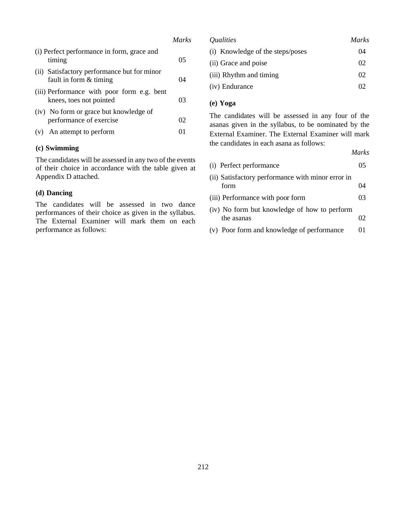|                                                                       | Marks |
|-----------------------------------------------------------------------|-------|
| (i) Perfect performance in form, grace and<br>timing                  | 05    |
| (ii) Satisfactory performance but for minor<br>fault in form & timing | 04    |
| (iii) Performance with poor form e.g. bent<br>knees, toes not pointed | 03    |
| (iv) No form or grace but knowledge of<br>performance of exercise     | 02    |
| (v) An attempt to perform                                             | 01    |

## **(c) Swimming**

The candidates will be assessed in any two of the events of their choice in accordance with the table given at Appendix D attached.

#### **(d) Dancing**

The candidates will be assessed in two dance performances of their choice as given in the syllabus. The External Examiner will mark them on each performance as follows:

| <i><u><b>Oualities</b></u></i>   | Marks |
|----------------------------------|-------|
| (i) Knowledge of the steps/poses | 04    |
| (ii) Grace and poise             | 02    |
| (iii) Rhythm and timing          | 02    |
| (iv) Endurance                   | റാ    |

## **(e) Yoga**

The candidates will be assessed in any four of the asanas given in the syllabus, to be nominated by the External Examiner. The External Examiner will mark the candidates in each asana as follows:

*Marks*

| (i) Perfect performance                                    | 05. |
|------------------------------------------------------------|-----|
| (ii) Satisfactory performance with minor error in<br>form  | 04  |
| (iii) Performance with poor form                           | 03. |
| (iv) No form but knowledge of how to perform<br>the asanas | 02  |
| (v) Poor form and knowledge of performance                 | 01  |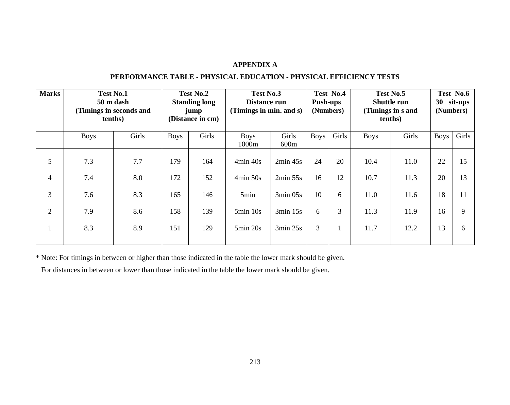## **APPENDIX A**

## **PERFORMANCE TABLE - PHYSICAL EDUCATION - PHYSICAL EFFICIENCY TESTS**

| <b>Marks</b>   | <b>Test No.1</b><br>50 m dash<br>(Timings in seconds and<br>tenths) |       |             | Test No.2<br><b>Standing long</b><br>jump<br>(Distance in cm) | Test No.3<br>Test No.4<br>Distance run<br>Push-ups<br>(Timings in min. and s)<br>(Numbers) |               |             | Test No.5<br><b>Shuttle run</b><br>(Timings in s and<br>tenths) |             |       | Test No.6<br>30<br>sit-ups<br>(Numbers) |       |
|----------------|---------------------------------------------------------------------|-------|-------------|---------------------------------------------------------------|--------------------------------------------------------------------------------------------|---------------|-------------|-----------------------------------------------------------------|-------------|-------|-----------------------------------------|-------|
|                | <b>Boys</b>                                                         | Girls | <b>Boys</b> | Girls                                                         | <b>Boys</b><br>1000m                                                                       | Girls<br>600m | <b>Boys</b> | Girls                                                           | <b>Boys</b> | Girls | <b>Boys</b>                             | Girls |
| 5              | 7.3                                                                 | 7.7   | 179         | 164                                                           | 4min 40s                                                                                   | 2min 45s      | 24          | 20                                                              | 10.4        | 11.0  | 22                                      | 15    |
| $\overline{4}$ | 7.4                                                                 | 8.0   | 172         | 152                                                           | $4min\ 50s$                                                                                | 2min 55s      | 16          | 12                                                              | 10.7        | 11.3  | 20                                      | 13    |
| 3              | 7.6                                                                 | 8.3   | 165         | 146                                                           | 5min                                                                                       | $3min$ 05s    | 10          | 6                                                               | 11.0        | 11.6  | 18                                      | 11    |
| $\overline{2}$ | 7.9                                                                 | 8.6   | 158         | 139                                                           | $5min$ 10s                                                                                 | $3min$ 15s    | 6           | 3                                                               | 11.3        | 11.9  | 16                                      | 9     |
|                | 8.3                                                                 | 8.9   | 151         | 129                                                           | $5\text{min}$ 20s                                                                          | 3min 25s      | 3           |                                                                 | 11.7        | 12.2  | 13                                      | 6     |

\* Note: For timings in between or higher than those indicated in the table the lower mark should be given.

For distances in between or lower than those indicated in the table the lower mark should be given.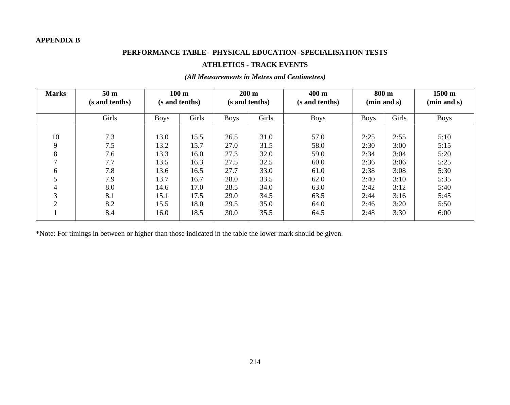## **APPENDIX B**

## **PERFORMANCE TABLE - PHYSICAL EDUCATION -SPECIALISATION TESTS**

## **ATHLETICS - TRACK EVENTS**

| <b>Marks</b>           | 50 <sub>m</sub><br>(s and tenths)             | 100 <sub>m</sub><br>(s and tenths)                   |                                                      | $200 \text{ m}$<br>(s and tenths)                    |                                                      | $400 \text{ m}$<br>(s and tenths)                    | $800 \text{ m}$<br>(min and s)                       |                                                      | 1500 m<br>(min and s)                                |
|------------------------|-----------------------------------------------|------------------------------------------------------|------------------------------------------------------|------------------------------------------------------|------------------------------------------------------|------------------------------------------------------|------------------------------------------------------|------------------------------------------------------|------------------------------------------------------|
|                        | Girls                                         | <b>Boys</b>                                          | Girls                                                | <b>Boys</b>                                          | Girls                                                | <b>Boys</b>                                          | <b>Boys</b>                                          | Girls                                                | <b>Boys</b>                                          |
| 10<br>9<br>8<br>6<br>4 | 7.3<br>7.5<br>7.6<br>7.7<br>7.8<br>7.9<br>8.0 | 13.0<br>13.2<br>13.3<br>13.5<br>13.6<br>13.7<br>14.6 | 15.5<br>15.7<br>16.0<br>16.3<br>16.5<br>16.7<br>17.0 | 26.5<br>27.0<br>27.3<br>27.5<br>27.7<br>28.0<br>28.5 | 31.0<br>31.5<br>32.0<br>32.5<br>33.0<br>33.5<br>34.0 | 57.0<br>58.0<br>59.0<br>60.0<br>61.0<br>62.0<br>63.0 | 2:25<br>2:30<br>2:34<br>2:36<br>2:38<br>2:40<br>2:42 | 2:55<br>3:00<br>3:04<br>3:06<br>3:08<br>3:10<br>3:12 | 5:10<br>5:15<br>5:20<br>5:25<br>5:30<br>5:35<br>5:40 |
| 3<br>2                 | 8.1<br>8.2<br>8.4                             | 15.1<br>15.5<br>16.0                                 | 17.5<br>18.0<br>18.5                                 | 29.0<br>29.5<br>30.0                                 | 34.5<br>35.0<br>35.5                                 | 63.5<br>64.0<br>64.5                                 | 2:44<br>2:46<br>2:48                                 | 3:16<br>3:20<br>3:30                                 | 5:45<br>5:50<br>6:00                                 |

## *(All Measurements in Metres and Centimetres)*

\*Note: For timings in between or higher than those indicated in the table the lower mark should be given.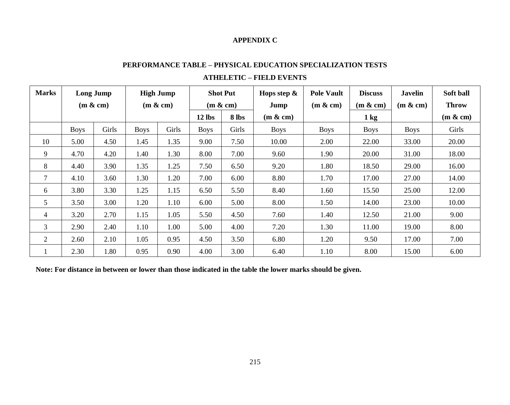## **APPENDIX C**

| <b>Marks</b>   | Long Jump   |       | <b>High Jump</b> |           |             | <b>Shot Put</b> | Hops step $\&$ | <b>Pole Vault</b> | <b>Discuss</b> | <b>Javelin</b> | Soft ball    |
|----------------|-------------|-------|------------------|-----------|-------------|-----------------|----------------|-------------------|----------------|----------------|--------------|
|                | (m & c m)   |       |                  | (m & c m) |             | (m & c m)       | Jump           | (m & c m)         | (m & c m)      | (m & c m)      | <b>Throw</b> |
|                |             |       |                  |           | $12$ lbs    | 8 lbs           | (m & c m)      |                   | $1 \text{ kg}$ |                | (m & c m)    |
|                | <b>Boys</b> | Girls | <b>Boys</b>      | Girls     | <b>Boys</b> | Girls           | <b>Boys</b>    | <b>Boys</b>       | Boys           | <b>Boys</b>    | Girls        |
| 10             | 5.00        | 4.50  | 1.45             | 1.35      | 9.00        | 7.50            | 10.00          | 2.00              | 22.00          | 33.00          | 20.00        |
| 9              | 4.70        | 4.20  | 1.40             | 1.30      | 8.00        | 7.00            | 9.60           | 1.90              | 20.00          | 31.00          | 18.00        |
| 8              | 4.40        | 3.90  | 1.35             | 1.25      | 7.50        | 6.50            | 9.20           | 1.80              | 18.50          | 29.00          | 16.00        |
| 7              | 4.10        | 3.60  | 1.30             | 1.20      | 7.00        | 6.00            | 8.80           | 1.70              | 17.00          | 27.00          | 14.00        |
| 6              | 3.80        | 3.30  | 1.25             | 1.15      | 6.50        | 5.50            | 8.40           | 1.60              | 15.50          | 25.00          | 12.00        |
| 5              | 3.50        | 3.00  | 1.20             | 1.10      | 6.00        | 5.00            | 8.00           | 1.50              | 14.00          | 23.00          | 10.00        |
| 4              | 3.20        | 2.70  | 1.15             | 1.05      | 5.50        | 4.50            | 7.60           | 1.40              | 12.50          | 21.00          | 9.00         |
| $\overline{3}$ | 2.90        | 2.40  | 1.10             | 1.00      | 5.00        | 4.00            | 7.20           | 1.30              | 11.00          | 19.00          | 8.00         |
| $\overline{2}$ | 2.60        | 2.10  | 1.05             | 0.95      | 4.50        | 3.50            | 6.80           | 1.20              | 9.50           | 17.00          | 7.00         |
|                | 2.30        | 1.80  | 0.95             | 0.90      | 4.00        | 3.00            | 6.40           | 1.10              | 8.00           | 15.00          | 6.00         |

# **PERFORMANCE TABLE – PHYSICAL EDUCATION SPECIALIZATION TESTS ATHELETIC – FIELD EVENTS**

**Note: For distance in between or lower than those indicated in the table the lower marks should be given.**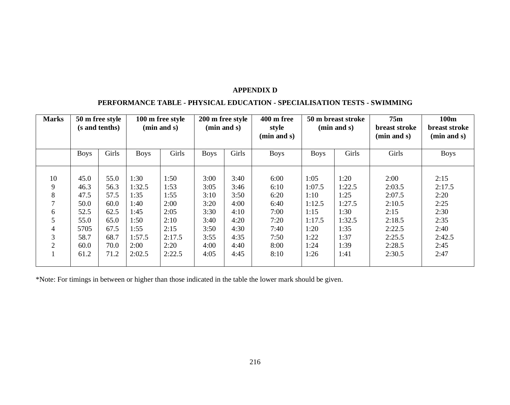## **APPENDIX D**

## **PERFORMANCE TABLE - PHYSICAL EDUCATION - SPECIALISATION TESTS - SWIMMING**

| <b>Marks</b>   | 50 m free style<br>(s and tenths) |       | 100 m free style<br>(min and s) |        | 200 m free style<br>(min and s) |       | 400 m free<br>style<br>(min and s) | 50 m breast stroke<br>(min and s) |        | 75m<br><b>breast stroke</b><br>(min and s) | 100m<br><b>breast stroke</b><br>(min and s) |
|----------------|-----------------------------------|-------|---------------------------------|--------|---------------------------------|-------|------------------------------------|-----------------------------------|--------|--------------------------------------------|---------------------------------------------|
|                | <b>Boys</b>                       | Girls | <b>Boys</b>                     | Girls  | <b>Boys</b>                     | Girls | <b>Boys</b>                        | <b>Boys</b>                       | Girls  | Girls                                      | <b>Boys</b>                                 |
|                |                                   |       |                                 |        |                                 |       |                                    |                                   |        |                                            |                                             |
| 10             | 45.0                              | 55.0  | 1:30                            | 1:50   | 3:00                            | 3:40  | 6:00                               | 1:05                              | 1:20   | 2:00                                       | 2:15                                        |
| 9              | 46.3                              | 56.3  | 1:32.5                          | 1:53   | 3:05                            | 3:46  | 6:10                               | 1:07.5                            | 1:22.5 | 2:03.5                                     | 2:17.5                                      |
| 8              | 47.5                              | 57.5  | 1:35                            | 1:55   | 3:10                            | 3:50  | 6:20                               | 1:10                              | 1:25   | 2:07.5                                     | 2:20                                        |
|                | 50.0                              | 60.0  | 1:40                            | 2:00   | 3:20                            | 4:00  | 6:40                               | 1:12.5                            | 1:27.5 | 2:10.5                                     | 2:25                                        |
| 6              | 52.5                              | 62.5  | 1:45                            | 2:05   | 3:30                            | 4:10  | 7:00                               | 1:15                              | 1:30   | 2:15                                       | 2:30                                        |
| 5              | 55.0                              | 65.0  | 1:50                            | 2:10   | 3:40                            | 4:20  | 7:20                               | 1:17.5                            | 1:32.5 | 2:18.5                                     | 2:35                                        |
| 4              | 5705                              | 67.5  | 1:55                            | 2:15   | 3:50                            | 4:30  | 7:40                               | 1:20                              | 1:35   | 2:22.5                                     | 2:40                                        |
| 3              | 58.7                              | 68.7  | 1:57.5                          | 2:17.5 | 3:55                            | 4:35  | 7:50                               | 1:22                              | 1:37   | 2:25.5                                     | 2:42.5                                      |
| $\mathfrak{D}$ | 60.0                              | 70.0  | 2:00                            | 2:20   | 4:00                            | 4:40  | 8:00                               | 1:24                              | 1:39   | 2:28.5                                     | 2:45                                        |
|                | 61.2                              | 71.2  | 2:02.5                          | 2:22.5 | 4:05                            | 4:45  | 8:10                               | 1:26                              | 1:41   | 2:30.5                                     | 2:47                                        |

\*Note: For timings in between or higher than those indicated in the table the lower mark should be given.